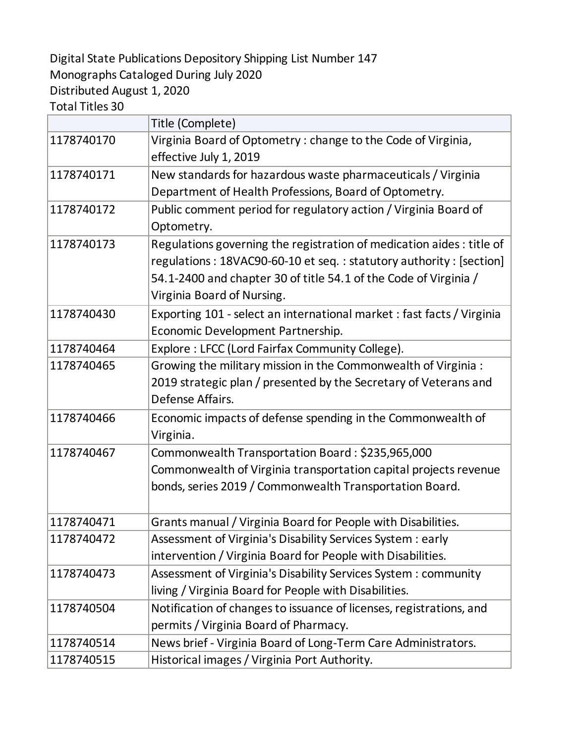## Digital State Publications Depository Shipping List Number 147 Monographs Cataloged During July 2020 Distributed August 1, 2020

Total Titles 30

|            | Title (Complete)                                                                                                                                                                                                                              |
|------------|-----------------------------------------------------------------------------------------------------------------------------------------------------------------------------------------------------------------------------------------------|
| 1178740170 | Virginia Board of Optometry: change to the Code of Virginia,<br>effective July 1, 2019                                                                                                                                                        |
| 1178740171 | New standards for hazardous waste pharmaceuticals / Virginia<br>Department of Health Professions, Board of Optometry.                                                                                                                         |
| 1178740172 | Public comment period for regulatory action / Virginia Board of<br>Optometry.                                                                                                                                                                 |
| 1178740173 | Regulations governing the registration of medication aides : title of<br>regulations: 18VAC90-60-10 et seq.: statutory authority: [section]<br>54.1-2400 and chapter 30 of title 54.1 of the Code of Virginia /<br>Virginia Board of Nursing. |
| 1178740430 | Exporting 101 - select an international market: fast facts / Virginia<br>Economic Development Partnership.                                                                                                                                    |
| 1178740464 | Explore: LFCC (Lord Fairfax Community College).                                                                                                                                                                                               |
| 1178740465 | Growing the military mission in the Commonwealth of Virginia :<br>2019 strategic plan / presented by the Secretary of Veterans and<br>Defense Affairs.                                                                                        |
| 1178740466 | Economic impacts of defense spending in the Commonwealth of<br>Virginia.                                                                                                                                                                      |
| 1178740467 | Commonwealth Transportation Board: \$235,965,000<br>Commonwealth of Virginia transportation capital projects revenue<br>bonds, series 2019 / Commonwealth Transportation Board.                                                               |
| 1178740471 | Grants manual / Virginia Board for People with Disabilities.                                                                                                                                                                                  |
| 1178740472 | Assessment of Virginia's Disability Services System : early<br>intervention / Virginia Board for People with Disabilities.                                                                                                                    |
| 1178740473 | Assessment of Virginia's Disability Services System: community<br>living / Virginia Board for People with Disabilities.                                                                                                                       |
| 1178740504 | Notification of changes to issuance of licenses, registrations, and<br>permits / Virginia Board of Pharmacy.                                                                                                                                  |
| 1178740514 | News brief - Virginia Board of Long-Term Care Administrators.                                                                                                                                                                                 |
| 1178740515 | Historical images / Virginia Port Authority.                                                                                                                                                                                                  |